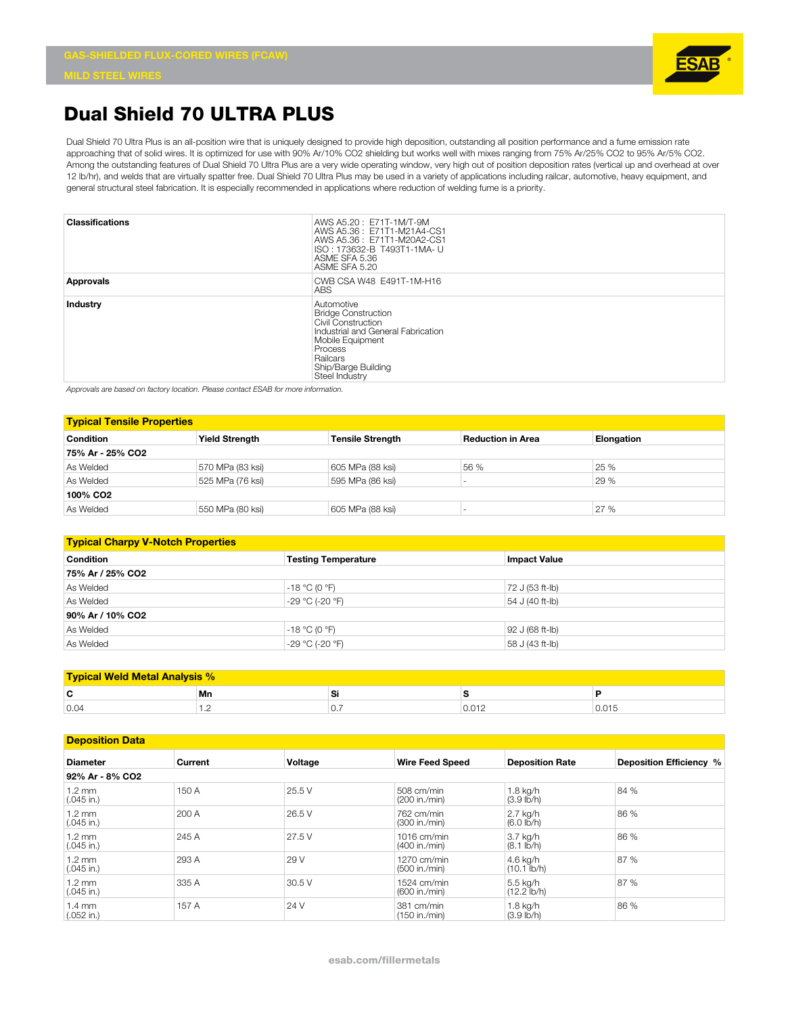

## **Dual Shield 70 ULTRA PLUS**

Dual Shield 70 Ultra Plus is an all-position wire that is uniquely designed to provide high deposition, outstanding all position performance and a fume emission rate approaching that of solid wires. It is optimized for use with 90% Ar/10% CO2 shielding but works well with mixes ranging from 75% Ar/25% CO2 to 95% Ar/5% CO2. Among the outstanding features of Dual Shield 70 Ultra Plus are a very wide operating window, very high out of position deposition rates (vertical up and overhead at over 12 lb/hr), and welds that are virtually spatter free. Dual Shield 70 Ultra Plus may be used in a variety of applications including railcar, automotive, heavy equipment, and general structural steel fabrication. It is especially recommended in applications where reduction of welding fume is a priority.

| <b>Classifications</b> | AWS A5.20: E71T-1M/T-9M<br>AWS A5.36: E71T1-M21A4-CS1<br>AWS A5.36: E71T1-M20A2-CS1<br>ISO: 173632-B T493T1-1MA- U<br>ASME SFA 5.36<br>ASME SFA 5.20                                     |
|------------------------|------------------------------------------------------------------------------------------------------------------------------------------------------------------------------------------|
| Approvals              | CWB CSA W48 E491T-1M-H16<br>ABS.                                                                                                                                                         |
| Industry               | Automotive<br><b>Bridge Construction</b><br>Civil Construction<br>Industrial and General Fabrication<br>Mobile Equipment<br>Process<br>Railcars<br>Ship/Barge Building<br>Steel Industry |

*Approvals are based on factory location. Please contact ESAB for more information.*

| <b>Typical Tensile Properties</b> |                       |                         |                          |            |  |  |
|-----------------------------------|-----------------------|-------------------------|--------------------------|------------|--|--|
| Condition                         | <b>Yield Strength</b> | <b>Tensile Strength</b> | <b>Reduction in Area</b> | Elongation |  |  |
| 75% Ar - 25% CO2                  |                       |                         |                          |            |  |  |
| As Welded                         | 570 MPa (83 ksi)      | 605 MPa (88 ksi)        | 56 %                     | 25 %       |  |  |
| As Welded                         | 525 MPa (76 ksi)      | 595 MPa (86 ksi)        |                          | 29 %       |  |  |
| 100% CO <sub>2</sub>              |                       |                         |                          |            |  |  |
| As Welded                         | 550 MPa (80 ksi)      | 605 MPa (88 ksi)        |                          | 27 %       |  |  |

| <b>Typical Charpy V-Notch Properties</b> |                            |                     |  |  |  |  |
|------------------------------------------|----------------------------|---------------------|--|--|--|--|
| <b>Condition</b>                         | <b>Testing Temperature</b> | <b>Impact Value</b> |  |  |  |  |
| 75% Ar / 25% CO2                         |                            |                     |  |  |  |  |
| As Welded                                | $-18 °C (0 °F)$            | 72 J (53 ft-lb)     |  |  |  |  |
| As Welded                                | $-29 °C (-20 °F)$          | 54 J (40 ft-lb)     |  |  |  |  |
| 90% Ar / 10% CO2                         |                            |                     |  |  |  |  |
| As Welded                                | $-18 °C (0 °F)$            | 92 J (68 ft-lb)     |  |  |  |  |
| As Welded                                | $-29 °C (-20 °F)$          | 58 J (43 ft-lb)     |  |  |  |  |

| velu Ivietal |             |                  |         |  |  |
|--------------|-------------|------------------|---------|--|--|
| -            | Mn          | ີ                |         |  |  |
| 0.04         | $\cdot$ $-$ | $\cup$ . $\cdot$ | U.U I 4 |  |  |

| <b>Deposition Data</b>           |         |         |                                |                                   |                         |
|----------------------------------|---------|---------|--------------------------------|-----------------------------------|-------------------------|
| <b>Diameter</b>                  | Current | Voltage | <b>Wire Feed Speed</b>         | <b>Deposition Rate</b>            | Deposition Efficiency % |
| 92% Ar - 8% CO2                  |         |         |                                |                                   |                         |
| $1.2 \text{ mm}$<br>$(.045$ in.) | 150 A   | 25.5 V  | 508 cm/min<br>(200 in./min)    | 1.8 kg/h<br>(3.9 lb/h)            | 84 %                    |
| $1.2 \text{ mm}$<br>$(.045$ in.) | 200 A   | 26.5 V  | 762 cm/min<br>(300 in./min)    | 2.7 kg/h<br>$(6.0 \, lb/h)$       | 86 %                    |
| $1.2 \text{ mm}$<br>$(.045$ in.) | 245 A   | 27.5 V  | $1016$ cm/min<br>(400 in./min) | 3.7 kg/h<br>$(8.1$ lb/h)          | 86 %                    |
| 1.2 mm<br>$(.045$ in.)           | 293 A   | 29 V    | $1270$ cm/min<br>(500 in./min) | 4.6 kg/h<br>$(10.1$ lb/h)         | 87 %                    |
| $1.2 \text{ mm}$<br>$(.045$ in.) | 335 A   | 30.5 V  | $1524$ cm/min<br>(600 in./min) | 5.5 kg/h<br>$(12.2 \text{ lb/h})$ | 87 %                    |
| 1.4 mm<br>$(.052$ in.)           | 157 A   | 24 V    | 381 cm/min<br>(150 in./min)    | 1.8 kg/h<br>$(3.9$ lb/h)          | 86 %                    |